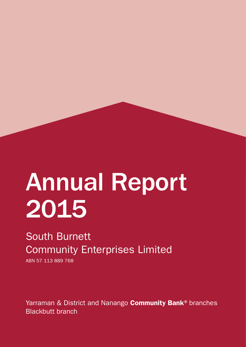# Annual Report 2015

## South Burnett Community Enterprises Limited

ABN 57 113 889 768

Yarraman & District and Nanango **Community Bank®** branches Blackbutt branch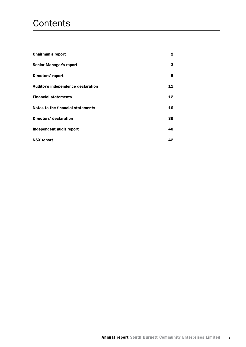## **Contents**

| <b>Chairman's report</b>           | 2  |
|------------------------------------|----|
| <b>Senior Manager's report</b>     | 3  |
| Directors' report                  | 5  |
| Auditor's independence declaration | 11 |
| <b>Financial statements</b>        | 12 |
| Notes to the financial statements  | 16 |
| Directors' declaration             | 39 |
| Independent audit report           | 40 |
| <b>NSX report</b>                  | 42 |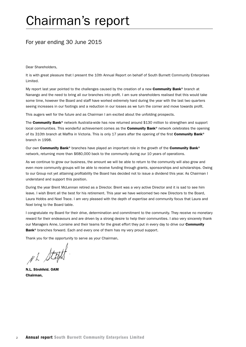## Chairman's report

## For year ending 30 June 2015

Dear Shareholders,

It is with great pleasure that I present the 10th Annual Report on behalf of South Burnett Community Enterprises Limited.

My report last year pointed to the challenges caused by the creation of a new **Community Bank**<sup>®</sup> branch at Nanango and the need to bring all our branches into profit. I am sure shareholders realised that this would take some time, however the Board and staff have worked extremely hard during the year with the last two quarters seeing increases in our footings and a reduction in our losses as we turn the corner and move towards profit.

This augers well for the future and as Chairman I am excited about the unfolding prospects.

The Community Bank® network Australia-wide has now returned around \$130 million to strengthen and support local communities. This wonderful achievement comes as the Community Bank® network celebrates the opening of its 310th branch at Maffra in Victoria. This is only 17 years after the opening of the first **Community Bank**<sup>®</sup> branch in 1998.

Our own Community Bank® branches have played an important role in the growth of the Community Bank® network, returning more than \$680,000 back to the community during our 10 years of operations.

As we continue to grow our business, the amount we will be able to return to the community will also grow and even more community groups will be able to receive funding through grants, sponsorships and scholarships. Owing to our Group not yet attaining profitability the Board has decided not to issue a dividend this year. As Chairman I understand and support this position.

During the year Brent McLennan retired as a Director. Brent was a very active Director and it is sad to see him leave. I wish Brent all the best for his retirement. This year we have welcomed two new Directors to the Board, Laura Hobbs and Noel Trace. I am very pleased with the depth of expertise and community focus that Laura and Noel bring to the Board table.

I congratulate my Board for their drive, determination and commitment to the community. They receive no monetary reward for their endeavours and are driven by a strong desire to help their communities. I also very sincerely thank our Managers Anne, Lorraine and their teams for the great effort they put in every day to drive our Community Bank<sup>®</sup> branches forward. Each and every one of them has my very proud support.

Thank you for the opportunity to serve as your Chairman,

Nh State

N.L. Strohfeld. OAM Chairman,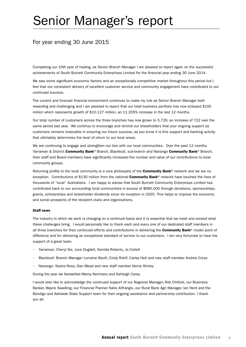## Senior Manager's report

## For year ending 30 June 2015

Completing our 10th year of trading, as Senior Branch Manager I am pleased to report again on the successful achievements of South Burnett Community Enterprises Limited for the financial year ending 30 June 2014.

We saw some significant economic factors and an exceptionally competitive market throughout this period but I feel that our consistent delivery of excellent customer service and community engagement have contributed to our continued success.

The current and forecast financial environment continues to make my role as Senior Branch Manager both rewarding and challenging and I am pleased to report that our total business portfolio has now eclipsed \$100 million which represents growth of \$10.127 million, an 11.205% increase in the last 12 months.

Our total number of customers across the three branches has now grown to 3,729, an increase of 722 over the same period last year. We continue to encourage and remind our shareholders that your ongoing support as customers remains invaluable in ensuring our future success, as you know it is this support and banking activity that ultimately determines the level of return to our local areas.

We are continuing to engage and strengthen our ties with our local communities. Over the past 12 months Yarraman & District Community Bank® Branch, Blackbutt, sub-branch and Nanango Community Bank® Branch, their staff and Board members have significantly increased the number and value of our contributions to local community groups.

Returning profits to the local community is a core philosophy of the **Community Bank®** network and we are no exception. Contributions of \$130 million from the national Community Bank® network have touched the lives of thousands of "local" Australians. I am happy to advise that South Burnett Community Enterprises Limited has contributed back to our surrounding local communities in excess of \$680,000 through donations, sponsorships, grants, scholarships and shareholder dividends since its inception in 2005. This helps to improve the economic and social prospects of the recipient clubs and organisations.

#### Staff news

The industry in which we work is changing on a continual basis and it is essential that we meet and exceed what these challenges bring. I would personally like to thank each and every one of our dedicated staff members in all three branches for their continued efforts and contributions in delivering the Community Bank® model point of difference and for delivering an exceptional standard of service to our customers. I am very fortunate to have the support of a great team.

- • Yarraman: Cheryl Nix, June Dugdell, Nerrida Roberts, Jo Collett
- Blackbutt: Branch Manager Lorraine Wyvill, Cindy Rohlf, Carley Heit and new staff member Andrea Cross
- Nanango: Sasha Ross, Dan Mead and new staff member Kerrie Shirley

During the year we farewelled Marny Kemmery and Ashleigh Carey.

I would also like to acknowledge the continued support of our Regional Manager, Rob Chittick, our Business Banker, Wayne Swadling, our Financial Planner Katie Alifrangis, our Rural Bank Agri Manager, Ian Herd and the Bendigo and Adelaide State Support team for their ongoing assistance and partnership contribution. I thank you all.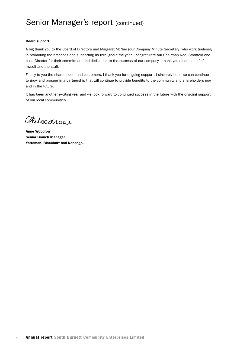#### Board support

A big thank you to the Board of Directors and Margaret McNae (our Company Minute Secretary) who work tirelessly in promoting the branches and supporting us throughout the year. I congratulate our Chairman Noel Strohfeld and each Director for their commitment and dedication to the success of our company, I thank you all on behalf of myself and the staff.

Finally to you the shareholders and customers, I thank you for ongoing support. I sincerely hope we can continue to grow and prosper in a partnership that will continue to provide benefits to the community and shareholders now and in the future.

It has been another exciting year and we look forward to continued success in the future with the ongoing support of our local communities.

Alloodrow

Anne Woodrow Senior Branch Manager Yarraman, Blackbutt and Nanango.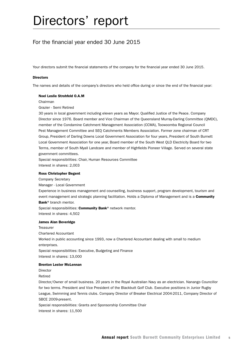## For the financial year ended 30 June 2015

Your directors submit the financial statements of the company for the financial year ended 30 June 2015.

#### **Directors**

The names and details of the company's directors who held office during or since the end of the financial year:

#### Noel Leslie Strohfeld O.A.M

Chairman

Grazier - Semi Retired

30 years in local government including eleven years as Mayor. Qualified Justice of the Peace. Company Director since 1976. Board member and Vice Chairman of the Queensland Murray-Darling Committee (QMDC), member of the Condamine Catchment Management Association (CCMA), Toowoomba Regional Council Pest Management Committee and SEQ Catchments Members Association. Former zone chairman of CRT Group, President of Darling Downs Local Government Association for four years, President of South Burnett Local Government Association for one year, Board member of the South West QLD Electricity Board for two Terms, member of South Myall Landcare and member of Highfields Pioneer Village. Served on several state government committees.

Special responsibilities: Chair, Human Resources Committee Interest in shares: 2,003

#### Ross Christopher Begent

Company Secretary

Manager - Local Government

Experience in business management and counselling, business support, program development, tourism and event management and strategic planning facilitation. Holds a Diploma of Management and is a **Community** Bank<sup>®</sup> branch mentor.

Special responsibilities: Community Bank® network mentor. Interest in shares: 4,502

#### James Alan Beveridge

**Treasurer** Chartered Accountant Worked in public accounting since 1993, now a Chartered Accountant dealing with small to medium enterprises. Special responsibilities: Executive, Budgeting and Finance Interest in shares: 13,000

#### Brenton Lester McLennan

Director

Retired

Director/Owner of small business. 20 years in the Royal Australian Navy as an electrician. Nanango Councillor for two terms. President and Vice President of the Blackbutt Golf Club. Executive positions in Junior Rugby League, Swimming and Tennis clubs. Company Director of Breaker Electrical 2004-2011, Company Director of SBCE 2009-present.

Special responsibilities: Grants and Sponsorship Committee Chair Interest in shares: 11,500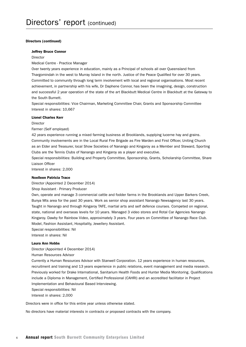#### Directors (continued)

#### Jeffrey Bruce Connor

Director

Medical Centre - Practice Manager

Over twenty years experience in education, mainly as a Principal of schools all over Queensland from Thargomindah in the west to Murray Island in the north. Justice of the Peace Qualified for over 30 years. Committed to community through long term involvement with local and regional organisations. Most recent achievement, in partnership with his wife, Dr Daphene Connor, has been the imagining, design, construction and successful 2 year operation of the state of the art Blackbutt Medical Centre in Blackbutt at the Gateway to the South Burnett.

Special responsibilities: Vice Chairman, Marketing Committee Chair, Grants and Sponsorship Committee Interest in shares: 10,667

#### Lionel Charles Kerr

Director

Farmer (Self employed)

42 years experience running a mixed farming business at Brooklands, supplying lucerne hay and grains. Community involvements are in the Local Rural Fire Brigade as Fire Warden and First Officer, Uniting Church as an Elder and Treasurer, local Show Societies of Nanango and Kingaroy as a Member and Steward, Sporting Clubs are the Tennis Clubs of Nanango and Kingaroy as a player and executive.

Special responsibilities: Building and Property Committee, Sponsorship, Grants, Scholarship Committee, Share Liaison Officer

Interest in shares: 2,000

#### Noelleen Patricia Trace

Director (Appointed 2 December 2014)

Shop Assistant - Primary Producer

Own, operate and manage 3 commercial cattle and fodder farms in the Brooklands and Upper Barkers Creek, Bunya Mts area for the past 30 years. Work as senior shop assistant Nanango Newsagency last 30 years. Taught in Nanango and through Kingaroy TAFE, martial arts and self defence courses. Competed on regional, state, national and overseas levels for 10 years. Managed 3 video stores and Rotal Car Agencies Nanango Kingaroy. Dawby for Rainbow Video, approximately 3 years. Four years on Committee of Nanango Race Club. Model, Fashion Assistant, Hospitality, Jewellery Assistant.

Special responsibilities: Nil

Interest in shares: Nil

#### Laura Ann Hobbs

Director (Appointed 4 December 2014)

Human Resources Advisor

Currently a Human Resources Advisor with Stanwell Corporation. 12 years experience in human resources, recruitment and training and 13 years experience in public relations, event management and media research. Previously worked for Drake International, Sanitarium Health Foods and Hunter Media Monitoring. Qualifications include a Diploma in Management, Certified Professional (CAHRI) and an accredited facilitator in Project Implementation and Behavioural Based Interviewing.

Special responsibilities: Nil

Interest in shares: 2,000

Directors were in office for this entire year unless otherwise stated.

No directors have material interests in contracts or proposed contracts with the company.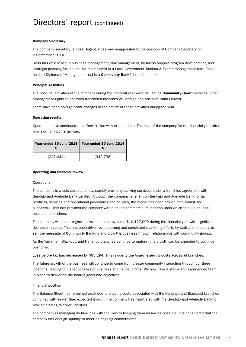#### Company Secretary

The company secretary is Ross Begent. Ross was re-appointed to the position of Company Secretary on 2 September 2014.

Ross has experience in business management, risk management, business support program development, and strategic planning facilitation. He is employed in a Local Government Tourism & Events management role. Ross holds a Diploma of Management and is a **Community Bank®** branch mentor.

#### Principal Activities

The principal activities of the company during the financial year were facilitating **Community Bank®** services under management rights to operates franchised branches of Bendigo and Adelaide Bank Limited.

There have been no significant changes in the nature of these activities during the year.

#### Operating results

Operations have continued to perform in line with expectations. The loss of the company for the financial year after provision for income tax was:

| Year ended 30 June 2015 | Year ended 30 June 2014 |
|-------------------------|-------------------------|
| (247, 444)              | (342, 738)              |

#### Operating and financial review

#### **Operations**

The company is a sole purpose entity, namely providing banking services, under a franchise agreement with Bendigo and Adelaide Bank Limited. Although the company is reliant on Bendigo and Adelaide Bank for its products, services and operational procedures and policies, the model has been proven both robust and successful. This has provided the company with a sound commercial foundation upon which to build its local business operations.

The company was able to grow its revenue base by some \$10,127,000 during the financial year with significant decrease in costs. This has been driven by the strong and consistent marketing efforts by staff and directors to sell the message of **Community Bank**ing and grow the business through relationships with community groups.

As the Yarraman, Blackbutt and Nanango branches continue to mature, this growth can be expected to continue over time.

Loss before tax has decreased by \$95,294. This is due to the board reviewing costs across all branches.

The future growth of the business will continue to come from greater community interaction through our three locations, leading to higher volumes of business and hence, profits. We now have a stable and experienced team in place to deliver on the boards goals and objectives.

#### Financial position

The Balance Sheet has remained weak due to ongoing costs associated with the Nanango and Blackbutt branches combined with slower than expected growth. The company has negotiated with the Bendigo and Adelaide Bank to provide funding to cover liabilities.

The company is managing its liabilities with the view to keeping them as low as possible. It is considered that the company has enough liquidity to meet its ongoing commitments.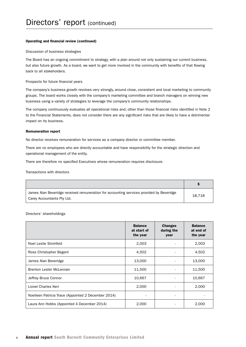#### Operating and financial review (continued)

#### Discussion of business strategies

The Board has an ongoing commitment to strategy, with a plan around not only sustaining our current business, but also future growth. As a board, we want to get more involved in the community with benefits of that flowing back to all stakeholders.

#### Prospects for future financial years

The company's business growth revolves very strongly, around close, consistent and local marketing to community groups. The board works closely with the company's marketing committee and branch managers on winning new business using a variety of strategies to leverage the company's community relationships.

The company continuously evaluates all operational risks and, other than those financial risks identified in Note 2 to the Financial Statements, does not consider there are any significant risks that are likely to have a detrimental impact on its business.

#### Remuneration report

No director receives remuneration for services as a company director or committee member.

There are no employees who are directly accountable and have responsibility for the strategic direction and operational management of the entity.

There are therefore no specified Executives whose remuneration requires disclosure.

Transactions with directors

| James Alan Beveridge received remuneration for accounting services provided by Beveridge<br>Carey Accountants Pty Ltd. | 18.718 |
|------------------------------------------------------------------------------------------------------------------------|--------|

Directors' shareholdings

|                                                     | <b>Balance</b><br>at start of<br>the year | <b>Changes</b><br>during the<br>year | <b>Balance</b><br>at end of<br>the year |
|-----------------------------------------------------|-------------------------------------------|--------------------------------------|-----------------------------------------|
| Noel Leslie Strohfeld                               | 2,003                                     |                                      | 2,003                                   |
| Ross Christopher Begent                             | 4,502                                     |                                      | 4,502                                   |
| James Alan Beveridge                                | 13,000                                    |                                      | 13,000                                  |
| Brenton Lester McLennan                             | 11,500                                    |                                      | 11,500                                  |
| Jeffrey Bruce Connor                                | 10,667                                    |                                      | 10,667                                  |
| Lionel Charles Kerr                                 | 2,000                                     |                                      | 2,000                                   |
| Noelleen Patricia Trace (Appointed 2 December 2014) |                                           |                                      |                                         |
| Laura Ann Hobbs (Appointed 4 December 2014)         | 2,000                                     |                                      | 2,000                                   |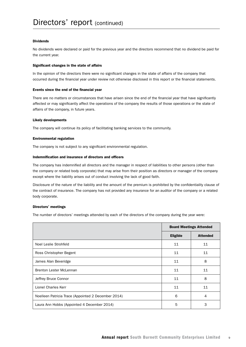#### Dividends

No dividends were declared or paid for the previous year and the directors recommend that no dividend be paid for the current year.

#### Significant changes in the state of affairs

In the opinion of the directors there were no significant changes in the state of affairs of the company that occurred during the financial year under review not otherwise disclosed in this report or the financial statements.

#### Events since the end of the financial year

There are no matters or circumstances that have arisen since the end of the financial year that have significantly affected or may significantly affect the operations of the company the results of those operations or the state of affairs of the company, in future years.

#### Likely developments

The company will continue its policy of facilitating banking services to the community.

#### Environmental regulation

The company is not subject to any significant environmental regulation.

#### Indemnification and insurance of directors and officers

The company has indemnified all directors and the manager in respect of liabilities to other persons (other than the company or related body corporate) that may arise from their position as directors or manager of the company except where the liability arises out of conduct involving the lack of good faith.

Disclosure of the nature of the liability and the amount of the premium is prohibited by the confidentiality clause of the contract of insurance. The company has not provided any insurance for an auditor of the company or a related body corporate.

#### Directors' meetings

The number of directors' meetings attended by each of the directors of the company during the year were:

|                                                     | <b>Board Meetings Attended</b> |                 |
|-----------------------------------------------------|--------------------------------|-----------------|
|                                                     | <b>Eligible</b>                | <b>Attended</b> |
| Noel Leslie Strohfeld                               | 11                             | 11              |
| Ross Christopher Begent                             | 11                             | 11              |
| James Alan Beveridge                                | 11                             | 8               |
| <b>Brenton Lester McLennan</b>                      | 11                             | 11              |
| Jeffrey Bruce Connor                                | 11                             | 8               |
| Lionel Charles Kerr                                 | 11                             | 11              |
| Noelleen Patricia Trace (Appointed 2 December 2014) | 6                              | 4               |
| Laura Ann Hobbs (Appointed 4 December 2014)         | 5                              | 3               |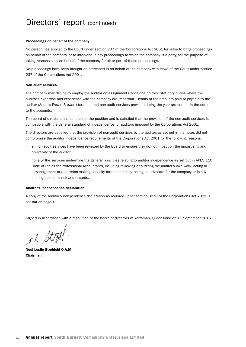#### Proceedings on behalf of the company

No person has applied to the Court under section 237 of the Corporations Act 2001 for leave to bring proceedings on behalf of the company, or to intervene in any proceedings to which the company is a party, for the purpose of taking responsibility on behalf of the company for all or part of those proceedings.

No proceedings have been brought or intervened in on behalf of the company with leave of the Court under section 237 of the Corporations Act 2001.

#### Non audit services

The company may decide to employ the auditor on assignments additional to their statutory duties where the auditor's expertise and experience with the company are important. Details of the amounts paid or payable to the auditor (Andrew Frewin Stewart) for audit and non audit services provided during the year are set out in the notes to the accounts.

The board of directors has considered the position and is satisfied that the provision of the non-audit services is compatible with the general standard of independence for auditors imposed by the Corporations Act 2001.

The directors are satisfied that the provision of non-audit services by the auditor, as set out in the notes did not compromise the auditor independence requirements of the Corporations Act 2001 for the following reasons:

- all non-audit services have been reviewed by the Board to ensure they do not impact on the impartiality and objectivity of the auditor
- • none of the services undermine the general principles relating to auditor independence as set out in APES 110 Code of Ethics for Professional Accountants, including reviewing or auditing the auditor's own work, acting in a management or a decision-making capacity for the company, acting as advocate for the company or jointly sharing economic risk and rewards.

#### Auditor's independence declaration

A copy of the auditor's independence declaration as required under section 307C of the Corporations Act 2001 is set out on page 11.

Signed in accordance with a resolution of the board of directors at Yarraman, Queensland on 11 September 2015.

NL Steph

Noel Leslie Strohfeld O.A.M, Chairman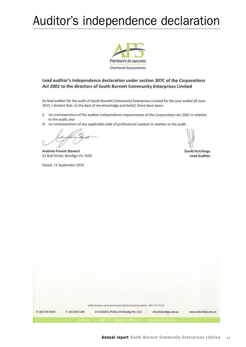## Auditor's independence declaration



Lead auditor's independence declaration under section 307C of the Corporations Act 2001 to the directors of South Burnett Community Enterprises Limited

As lead auditor for the audit of South Burnett Community Enterprises Limited for the year ended 30 June 2015, I declare that, to the best of my knowledge and belief, there have been:

- i) no contraventions of the auditor independence requirements of the Corporations Act 2001 in relation to the audit; and
- ii) no contraventions of any applicable code of professional conduct in relation to the audit.

**Andrew Frewin Stewart** 61 Bull Street, Bendigo Vic 3550

Dated: 11 September 2015

**David Hutchings Lead Auditor** 

|                                        | Uiddity limited by a scheme approved under Professional Standards Legislation, ABR: 51 061 795 337.                                                                       |
|----------------------------------------|---------------------------------------------------------------------------------------------------------------------------------------------------------------------------|
| P: (03) 5443 0344<br>F: (03) 5443 5304 | 61-65 Bull St./PO Box 454 Bendigo Vic. 3552<br>afs@afsbendigo.com.au<br>www.afsbendigo.com.au<br><b>EXTATION </b><br>AUDIT - RUCHESL STEULES<br><b>CERANCIAL PLANUING</b> |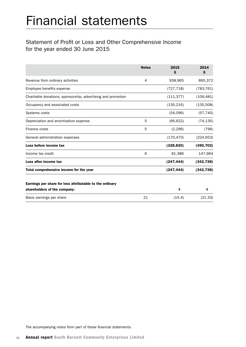## Statement of Profit or Loss and Other Comprehensive Income for the year ended 30 June 2015

|                                                              | <b>Notes</b> | 2015<br>\$ | 2014<br>S  |
|--------------------------------------------------------------|--------------|------------|------------|
| Revenue from ordinary activities                             | 4            | 938,965    | 895,372    |
| Employee benefits expense                                    |              | (727, 718) | (783, 761) |
| Charitable donations, sponsorship, advertising and promotion |              | (111, 377) | (109, 481) |
| Occupancy and associated costs                               |              | (135, 216) | (135,508)  |
| Systems costs                                                |              | (54,096)   | (57, 740)  |
| Depreciation and amortisation expense                        | 5            | (66, 622)  | (74, 135)  |
| Finance costs                                                | 5            | (2, 296)   | (796)      |
| General administration expenses                              |              | (170, 470) | (224, 653) |
| Loss before income tax                                       |              | (328, 830) | (490, 702) |
| Income tax credit                                            | 6            | 81,386     | 147,964    |
| Loss after income tax                                        |              | (247, 444) | (342, 738) |
| Total comprehensive income for the year                      |              | (247, 444) | (342, 738) |
| Earnings per share for loss attributable to the ordinary     |              |            |            |
| shareholders of the company:                                 |              | ¢          | ¢          |
| Basic earnings per share                                     | 21           | (15.4)     | (21.33)    |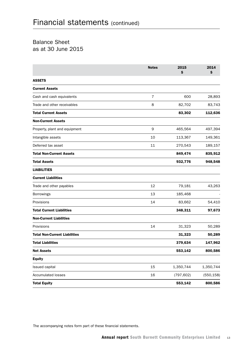## Balance Sheet as at 30 June 2015

|                                      | <b>Notes</b> | 2015<br>\$ | 2014<br>\$ |
|--------------------------------------|--------------|------------|------------|
| <b>ASSETS</b>                        |              |            |            |
| <b>Current Assets</b>                |              |            |            |
| Cash and cash equivalents            | 7            | 600        | 28,893     |
| Trade and other receivables          | 8            | 82,702     | 83,743     |
| <b>Total Current Assets</b>          |              | 83,302     | 112,636    |
| <b>Non-Current Assets</b>            |              |            |            |
| Property, plant and equipment        | 9            | 465,564    | 497,394    |
| Intangible assets                    | 10           | 113,367    | 149,361    |
| Deferred tax asset                   | 11           | 270,543    | 189,157    |
| <b>Total Non-Current Assets</b>      |              | 849,474    | 835,912    |
| <b>Total Assets</b>                  |              | 932,776    | 948,548    |
| <b>LIABILITIES</b>                   |              |            |            |
| <b>Current Liabilities</b>           |              |            |            |
| Trade and other payables             | 12           | 79,181     | 43,263     |
| Borrowings                           | 13           | 185,468    |            |
| Provisions                           | 14           | 83,662     | 54,410     |
| <b>Total Current Liabilities</b>     |              | 348,311    | 97,673     |
| <b>Non-Current Liabilities</b>       |              |            |            |
| Provisions                           | 14           | 31,323     | 50,289     |
| <b>Total Non-Current Liabilities</b> |              | 31,323     | 50,289     |
| <b>Total Liabilities</b>             |              | 379,634    | 147,962    |
| <b>Net Assets</b>                    |              | 553,142    | 800,586    |
| <b>Equity</b>                        |              |            |            |
| Issued capital                       | 15           | 1,350,744  | 1,350,744  |
| <b>Accumulated losses</b>            | 16           | (797, 602) | (550, 158) |
| <b>Total Equity</b>                  |              | 553,142    | 800,586    |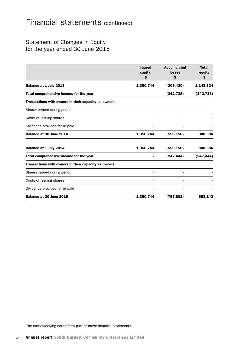## Statement of Changes in Equity for the year ended 30 June 2015

|                                                       | <b>Issued</b><br>capital<br>\$. | <b>Accumulated</b><br><b>losses</b><br>\$ | <b>Total</b><br>equity<br>\$ |
|-------------------------------------------------------|---------------------------------|-------------------------------------------|------------------------------|
| Balance at 1 July 2013                                | 1,350,744                       | (207, 420)                                | 1,143,324                    |
| Total comprehensive income for the year               |                                 | (342, 738)                                | (342, 738)                   |
| Transactions with owners in their capacity as owners: |                                 |                                           |                              |
| Shares issued during period                           |                                 |                                           |                              |
| Costs of issuing shares                               |                                 |                                           |                              |
| Dividends provided for or paid                        |                                 |                                           |                              |
| Balance at 30 June 2014                               | 1,350,744                       | (550, 158)                                | 800,586                      |
| Balance at 1 July 2014                                | 1,350,744                       | (550, 158)                                | 800,586                      |
| Total comprehensive income for the year               |                                 | (247, 444)                                | (247, 444)                   |
| Transactions with owners in their capacity as owners: |                                 |                                           |                              |
| Shares issued during period                           |                                 |                                           |                              |
| Costs of issuing shares                               |                                 |                                           |                              |
| Dividends provided for or paid                        |                                 |                                           |                              |
| Balance at 30 June 2015                               | 1,350,744                       | (797, 602)                                | 553,142                      |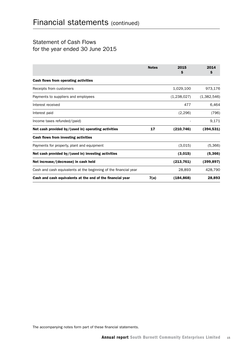## Statement of Cash Flows for the year ended 30 June 2015

|                                                                  | <b>Notes</b> | 2015<br>\$  | 2014<br>\$  |
|------------------------------------------------------------------|--------------|-------------|-------------|
| Cash flows from operating activities                             |              |             |             |
| Receipts from customers                                          |              | 1,029,100   | 973,176     |
| Payments to suppliers and employees                              |              | (1,238,027) | (1,382,546) |
| Interest received                                                |              | 477         | 6,464       |
| Interest paid                                                    |              | (2, 296)    | (796)       |
| Income taxes refunded/(paid)                                     |              |             | 9,171       |
| Net cash provided by/(used in) operating activities              | 17           | (210, 746)  | (394, 531)  |
| Cash flows from investing activities                             |              |             |             |
| Payments for property, plant and equipment                       |              | (3,015)     | (5,366)     |
| Net cash provided by/(used in) investing activities              |              | (3,015)     | (5,366)     |
| Net increase/(decrease) in cash held                             |              | (213, 761)  | (399, 897)  |
| Cash and cash equivalents at the beginning of the financial year |              | 28,893      | 428,790     |
| Cash and cash equivalents at the end of the financial year       | 7(a)         | (184, 868)  | 28,893      |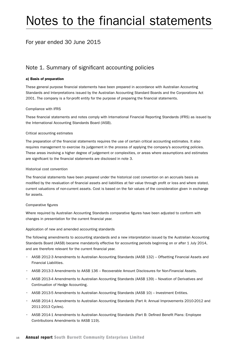## Notes to the financial statements

## For year ended 30 June 2015

## Note 1. Summary of significant accounting policies

#### a) Basis of preparation

These general purpose financial statements have been prepared in accordance with Australian Accounting Standards and Interpretations issued by the Australian Accounting Standard Boards and the Corporations Act 2001. The company is a for-profit entity for the purpose of preparing the financial statements.

#### Compliance with IFRS

These financial statements and notes comply with International Financial Reporting Standards (IFRS) as issued by the International Accounting Standards Board (IASB).

#### Critical accounting estimates

The preparation of the financial statements requires the use of certain critical accounting estimates. It also requires management to exercise its judgement in the process of applying the company's accounting policies. These areas involving a higher degree of judgement or complexities, or areas where assumptions and estimates are significant to the financial statements are disclosed in note 3.

#### Historical cost convention

The financial statements have been prepared under the historical cost convention on an accruals basis as modified by the revaluation of financial assets and liabilities at fair value through profit or loss and where stated, current valuations of non-current assets. Cost is based on the fair values of the consideration given in exchange for assets.

#### Comparative figures

Where required by Australian Accounting Standards comparative figures have been adjusted to conform with changes in presentation for the current financial year.

#### Application of new and amended accounting standards

The following amendments to accounting standards and a new interpretation issued by the Australian Accounting Standards Board (AASB) became mandatorily effective for accounting periods beginning on or after 1 July 2014, and are therefore relevant for the current financial year.

- • AASB 2012-3 Amendments to Australian Accounting Standards (AASB 132) Offsetting Financial Assets and Financial Liabilities.
- • AASB 2013-3 Amendments to AASB 136 Recoverable Amount Disclosures for Non-Financial Assets.
- • AASB 2013-4 Amendments to Australian Accounting Standards (AASB 139) Novation of Derivatives and Continuation of Hedge Accounting.
- • AASB 2013-5 Amendments to Australian Accounting Standards (AASB 10) Investment Entities.
- • AASB 2014-1 Amendments to Australian Accounting Standards (Part A: Annual Improvements 2010-2012 and 2011-2013 Cycles).
- • AASB 2014-1 Amendments to Australian Accounting Standards (Part B: Defined Benefit Plans: Employee Contributions Amendments to AASB 119).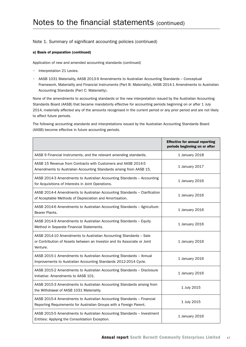#### a) Basis of preparation (continued)

Application of new and amended accounting standards (continued)

- Interpretation 21 Levies.
- • AASB 1031 Materiality, AASB 2013-9 Amendments to Australian Accounting Standards Conceptual Framework, Materiality and Financial Instruments (Part B: Materiality), AASB 2014-1 Amendments to Australian Accounting Standards (Part C: Materiality).

None of the amendments to accounting standards or the new interpretation issued by the Australian Accounting Standards Board (AASB) that became mandatorily effective for accounting periods beginning on or after 1 July 2014, materially affected any of the amounts recognised in the current period or any prior period and are not likely to affect future periods.

The following accounting standards and interpretations issued by the Australian Accounting Standards Board (AASB) become effective in future accounting periods.

|                                                                                                                                                           | <b>Effective for annual reporting</b><br>periods beginning on or after |
|-----------------------------------------------------------------------------------------------------------------------------------------------------------|------------------------------------------------------------------------|
| AASB 9 Financial Instruments, and the relevant amending standards.                                                                                        | 1 January 2018                                                         |
| AASB 15 Revenue from Contracts with Customers and AASB 2014-5<br>Amendments to Australian Accounting Standards arising from AASB 15.                      | 1 January 2017                                                         |
| AASB 2014-3 Amendments to Australian Accounting Standards - Accounting<br>for Acquisitions of Interests in Joint Operations.                              | 1 January 2016                                                         |
| AASB 2014-4 Amendments to Australian Accounting Standards - Clarification<br>of Acceptable Methods of Depreciation and Amortisation.                      | 1 January 2016                                                         |
| AASB 2014-6 Amendments to Australian Accounting Standards - Agriculture:<br>Bearer Plants.                                                                | 1 January 2016                                                         |
| AASB 2014-9 Amendments to Australian Accounting Standards - Equity<br>Method in Separate Financial Statements.                                            | 1 January 2016                                                         |
| AASB 2014-10 Amendments to Australian Accounting Standards - Sale<br>or Contribution of Assets between an Investor and its Associate or Joint<br>Venture. | 1 January 2016                                                         |
| AASB 2015-1 Amendments to Australian Accounting Standards - Annual<br>Improvements to Australian Accounting Standards 2012-2014 Cycle.                    | 1 January 2016                                                         |
| AASB 2015-2 Amendments to Australian Accounting Standards - Disclosure<br>Initiative: Amendments to AASB 101.                                             | 1 January 2016                                                         |
| AASB 2015-3 Amendments to Australian Accounting Standards arising from<br>the Withdrawal of AASB 1031 Materiality.                                        | 1 July 2015                                                            |
| AASB 2015-4 Amendments to Australian Accounting Standards - Financial<br>Reporting Requirements for Australian Groups with a Foreign Parent.              | 1 July 2015                                                            |
| AASB 2015-5 Amendments to Australian Accounting Standards - Investment<br>Entities: Applying the Consolidation Exception.                                 | 1 January 2016                                                         |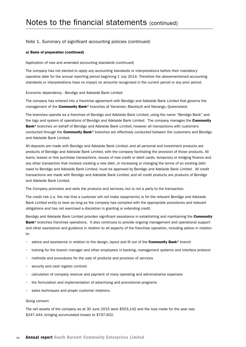#### a) Basis of preparation (continued)

Application of new and amended accounting standards (continued)

The company has not elected to apply any accounting standards or interpretations before their mandatory operative date for the annual reporting period beginning 1 July 2014. Therefore the abovementioned accounting standards or interpretations have no impact on amounts recognised in the current period or any prior period.

#### Economic dependency - Bendigo and Adelaide Bank Limited

The company has entered into a franchise agreement with Bendigo and Adelaide Bank Limited that governs the management of the **Community Bank**® branches at Yarraman, Blackbutt and Nanango, Queensland.

The branches operate as a franchise of Bendigo and Adelaide Bank Limited, using the name "Bendigo Bank" and the logo and system of operations of Bendigo and Adelaide Bank Limited. The company manages the Community Bank<sup>®</sup> branches on behalf of Bendigo and Adelaide Bank Limited, however all transactions with customers conducted through the **Community Bank®** branches are effectively conducted between the customers and Bendigo and Adelaide Bank Limited.

All deposits are made with Bendigo and Adelaide Bank Limited, and all personal and investment products are products of Bendigo and Adelaide Bank Limited, with the company facilitating the provision of those products. All loans, leases or hire purchase transactions, issues of new credit or debit cards, temporary or bridging finance and any other transaction that involves creating a new debt, or increasing or changing the terms of an existing debt owed to Bendigo and Adelaide Bank Limited, must be approved by Bendigo and Adelaide Bank Limited. All credit transactions are made with Bendigo and Adelaide Bank Limited, and all credit products are products of Bendigo and Adelaide Bank Limited.

The Company promotes and sells the products and services, but is not a party to the transaction.

The credit risk (i.e. the risk that a customer will not make repayments) is for the relevant Bendigo and Adelaide Bank Limited entity to bear as long as the company has complied with the appropriate procedures and relevant obligations and has not exercised a discretion in granting or extending credit.

Bendigo and Adelaide Bank Limited provides significant assistance in establishing and maintaining the Community Bank<sup>®</sup> branches franchise operations. It also continues to provide ongoing management and operational support and other assistance and guidance in relation to all aspects of the franchise operation, including advice in relation to:

- advice and assistance in relation to the design, layout and fit out of the **Community Bank®** branch
- • training for the branch manager and other employees in banking, management systems and interface protocol
- methods and procedures for the sale of products and provision of services
- security and cash logistic controls
- • calculation of company revenue and payment of many operating and administrative expenses
- the formulation and implementation of advertising and promotional programs
- sales techniques and proper customer relations.

#### Going concern

The net assets of the company as at 30 June 2015 were \$553,142 and the loss made for the year was \$247,444, bringing accumulated losses to \$797,602.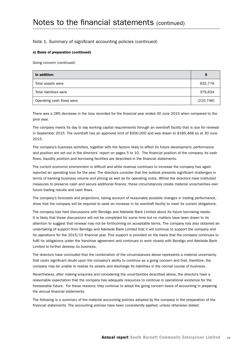#### a) Basis of preparation (continued)

Going concern (continued)

| In addition:              | <b>s</b>   |
|---------------------------|------------|
| Total assets were         | 932,776    |
| Total liabilities were    | 379,634    |
| Operating cash flows were | (210, 746) |

There was a 28% decrease in the loss recorded for the financial year ended 30 June 2015 when compared to the prior year.

The company meets its day to day working capital requirements through an overdraft facility that is due for renewal in September 2015. The overdraft has an approved limit of \$300,000 and was drawn to \$185,468 as at 30 June 2015.

The company's business activities, together with the factors likely to affect its future development, performance and position are set out in the directors' report on pages 5 to 10. The financial position of the company, its cash flows, liquidity position and borrowing facilities are described in the financial statements.

The current economic environment is difficult and while revenue continues to increase the company has again reported an operating loss for the year. The directors consider that the outlook presents significant challenges in terms of banking business volume and pricing as well as for operating costs. Whilst the directors have instituted measures to preserve cash and secure additional finance, these circumstances create material uncertainties over future trading results and cash flows.

The company's forecasts and projections, taking account of reasonably possible changes in trading performance, show that the company will be required to seek an increase in its overdraft facility to meet its current obligations.

The company has held discussions with Bendigo and Adelaide Bank Limited about its future borrowing needs. It is likely that these discussions will not be completed for some time but no matters have been drawn to its attention to suggest that renewal may not be forthcoming on acceptable terms. The company has also obtained an undertaking of support from Bendigo and Adelaide Bank Limited that it will continue to support the company and its operations for the 2015/15 financial year. This support is provided on the basis that the company continues to fulfil its obligations under the franchise agreement and continues to work closely with Bendigo and Adelaide Bank Limited to further develop its business.

The directors have concluded that the combination of the circumstances above represents a material uncertainty that casts significant doubt upon the company's ability to continue as a going concern and that, therefore, the company may be unable to realise its assets and discharge its liabilities in the normal course of business.

Nevertheless, after making enquiries and considering the uncertainties described above, the directors have a reasonable expectation that the company has adequate resources to continue in operational existence for the foreseeable future. For these reasons, they continue to adopt the going concern basis of accounting in preparing the annual financial statements.

The following is a summary of the material accounting policies adopted by the company in the preparation of the financial statements. The accounting policies have been consistently applied, unless otherwise stated.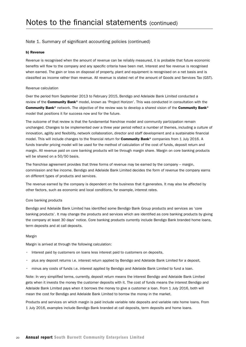#### b) Revenue

Revenue is recognised when the amount of revenue can be reliably measured, it is probable that future economic benefits will flow to the company and any specific criteria have been met. Interest and fee revenue is recognised when earned. The gain or loss on disposal of property, plant and equipment is recognised on a net basis and is classified as income rather than revenue. All revenue is stated net of the amount of Goods and Services Tax (GST).

#### Revenue calculation

Over the period from September 2013 to February 2015, Bendigo and Adelaide Bank Limited conducted a review of the Community Bank® model, known as 'Project Horizon'. This was conducted in consultation with the Community Bank® network. The objective of the review was to develop a shared vision of the Community Bank® model that positions it for success now and for the future.

The outcome of that review is that the fundamental franchise model and community participation remain unchanged. Changes to be implemented over a three year period reflect a number of themes, including a culture of innovation, agility and flexibility, network collaboration, director and staff development and a sustainable financial model. This will include changes to the financial return for **Community Bank®** companies from 1 July 2016. A funds transfer pricing model will be used for the method of calculation of the cost of funds, deposit return and margin. All revenue paid on core banking products will be through margin share. Margin on core banking products will be shared on a 50/50 basis.

The franchise agreement provides that three forms of revenue may be earned by the company – margin, commission and fee income. Bendigo and Adelaide Bank Limited decides the form of revenue the company earns on different types of products and services.

The revenue earned by the company is dependent on the business that it generates. It may also be affected by other factors, such as economic and local conditions, for example, interest rates.

#### Core banking products

Bendigo and Adelaide Bank Limited has identified some Bendigo Bank Group products and services as 'core banking products'. It may change the products and services which are identified as core banking products by giving the company at least 30 days' notice. Core banking products currently include Bendigo Bank branded home loans, term deposits and at call deposits.

#### Margin

Margin is arrived at through the following calculation:

- Interest paid by customers on loans less interest paid to customers on deposits,
- • plus any deposit returns i.e. interest return applied by Bendigo and Adelaide Bank Limited for a deposit,
- minus any costs of funds i.e. interest applied by Bendigo and Adelaide Bank Limited to fund a loan.

Note: In very simplified terms, currently, deposit return means the interest Bendigo and Adelaide Bank Limited gets when it invests the money the customer deposits with it. The cost of funds means the interest Bendigo and Adelaide Bank Limited pays when it borrows the money to give a customer a loan. From 1 July 2016, both will mean the cost for Bendigo and Adelaide Bank Limited to borrow the money in the market.

Products and services on which margin is paid include variable rate deposits and variable rate home loans. From 1 July 2016, examples include Bendigo Bank branded at call deposits, term deposits and home loans.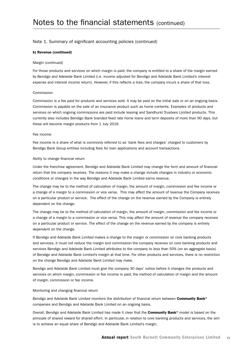#### b) Revenue (continued)

#### Margin (continued)

For those products and services on which margin is paid, the company is entitled to a share of the margin earned by Bendigo and Adelaide Bank Limited (i.e. income adjusted for Bendigo and Adelaide Bank Limited's interest expense and interest income return). However, if this reflects a loss, the company incurs a share of that loss.

#### Commission

Commission is a fee paid for products and services sold. It may be paid on the initial sale or on an ongoing basis. Commission is payable on the sale of an insurance product such as home contents. Examples of products and services on which ongoing commissions are paid include leasing and Sandhurst Trustees Limited products. This currently also includes Bendigo Bank branded fixed rate home loans and term deposits of more than 90 days, but these will become margin products from 1 July 2016.

#### Fee income

Fee income is a share of what is commonly referred to as 'bank fees and charges' charged to customers by Bendigo Bank Group entities including fees for loan applications and account transactions.

#### Ability to change financial return

Under the franchise agreement, Bendigo and Adelaide Bank Limited may change the form and amount of financial return that the company receives. The reasons it may make a change include changes in industry or economic conditions or changes in the way Bendigo and Adelaide Bank Limited earns revenue.

The change may be to the method of calculation of margin, the amount of margin, commission and fee income or a change of a margin to a commission or vice versa. This may affect the amount of revenue the Company receives on a particular product or service. The effect of the change on the revenue earned by the Company is entirely dependent on the change.

The change may be to the method of calculation of margin, the amount of margin, commission and fee income or a change of a margin to a commission or vice versa. This may affect the amount of revenue the company receives on a particular product or service. The effect of the change on the revenue earned by the company is entirely dependent on the change.

If Bendigo and Adelaide Bank Limited makes a change to the margin or commission on core banking products and services, it must not reduce the margin and commission the company receives on core banking products and services Bendigo and Adelaide Bank Limited attributes to the company to less than 50% (on an aggregate basis) of Bendigo and Adelaide Bank Limited's margin at that time. For other products and services, there is no restriction on the change Bendigo and Adelaide Bank Limited may make.

Bendigo and Adelaide Bank Limited must give the company 30 days' notice before it changes the products and services on which margin, commission or fee income is paid, the method of calculation of margin and the amount of margin, commission or fee income.

#### Monitoring and changing financial return

Bendigo and Adelaide Bank Limited monitors the distribution of financial return between Community Bank® companies and Bendigo and Adelaide Bank Limited on an ongoing basis.

Overall, Bendigo and Adelaide Bank Limited has made it clear that the **Community Bank®** model is based on the principle of shared reward for shared effort. In particular, in relation to core banking products and services, the aim is to achieve an equal share of Bendigo and Adelaide Bank Limited's margin.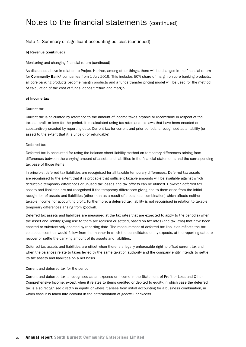#### b) Revenue (continued)

#### Monitoring and changing financial return (continued)

As discussed above in relation to Project Horizon, among other things, there will be changes in the financial return for Community Bank® companies from 1 July 2016. This includes 50% share of margin on core banking products, all core banking products become margin products and a funds transfer pricing model will be used for the method of calculation of the cost of funds, deposit return and margin.

#### c) Income tax

#### Current tax

Current tax is calculated by reference to the amount of income taxes payable or recoverable in respect of the taxable profit or loss for the period. It is calculated using tax rates and tax laws that have been enacted or substantively enacted by reporting date. Current tax for current and prior periods is recognised as a liability (or asset) to the extent that it is unpaid (or refundable).

#### Deferred tax

Deferred tax is accounted for using the balance sheet liability method on temporary differences arising from differences between the carrying amount of assets and liabilities in the financial statements and the corresponding tax base of those items.

In principle, deferred tax liabilities are recognised for all taxable temporary differences. Deferred tax assets are recognised to the extent that it is probable that sufficient taxable amounts will be available against which deductible temporary differences or unused tax losses and tax offsets can be utilised. However, deferred tax assets and liabilities are not recognised if the temporary differences giving rise to them arise from the initial recognition of assets and liabilities (other than as a result of a business combination) which affects neither taxable income nor accounting profit. Furthermore, a deferred tax liability is not recognised in relation to taxable temporary differences arising from goodwill.

Deferred tax assets and liabilities are measured at the tax rates that are expected to apply to the period(s) when the asset and liability giving rise to them are realised or settled, based on tax rates (and tax laws) that have been enacted or substantively enacted by reporting date. The measurement of deferred tax liabilities reflects the tax consequences that would follow from the manner in which the consolidated entity expects, at the reporting date, to recover or settle the carrying amount of its assets and liabilities.

Deferred tax assets and liabilities are offset when there is a legally enforceable right to offset current tax and when the balances relate to taxes levied by the same taxation authority and the company entity intends to settle its tax assets and liabilities on a net basis.

#### Current and deferred tax for the period

Current and deferred tax is recognised as an expense or income in the Statement of Profit or Loss and Other Comprehensive Income, except when it relates to items credited or debited to equity, in which case the deferred tax is also recognised directly in equity, or where it arises from initial accounting for a business combination, in which case it is taken into account in the determination of goodwill or excess.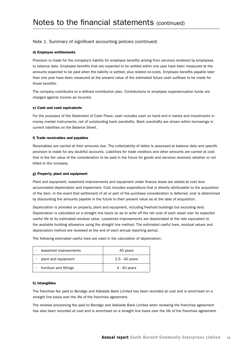#### d) Employee entitlements

Provision is made for the company's liability for employee benefits arising from services rendered by employees to balance date. Employee benefits that are expected to be settled within one year have been measured at the amounts expected to be paid when the liability is settled, plus related on-costs. Employee benefits payable later than one year have been measured at the present value of the estimated future cash outflows to be made for those benefits.

The company contributes to a defined contribution plan. Contributions to employee superannuation funds are charged against income as incurred.

#### e) Cash and cash equivalents

For the purposes of the Statement of Cash Flows, cash includes cash on hand and in banks and investments in money market instruments, net of outstanding bank overdrafts. Bank overdrafts are shown within borrowings in current liabilities on the Balance Sheet.

#### f) Trade receivables and payables

Receivables are carried at their amounts due. The collectability of debts is assessed at balance date and specific provision is made for any doubtful accounts. Liabilities for trade creditors and other amounts are carried at cost that is the fair value of the consideration to be paid in the future for goods and services received, whether or not billed to the company.

#### g) Property, plant and equipment

Plant and equipment, leasehold improvements and equipment under finance lease are stated at cost less accumulated depreciation and impairment. Cost includes expenditure that is directly attributable to the acquisition of the item. In the event that settlement of all or part of the purchase consideration is deferred, cost is determined by discounting the amounts payable in the future to their present value as at the date of acquisition.

Depreciation is provided on property, plant and equipment, including freehold buildings but excluding land. Depreciation is calculated on a straight line basis so as to write off the net cost of each asset over its expected useful life to its estimated residual value. Leasehold improvements are depreciated at the rate equivalent to the available building allowance using the straight line method. The estimated useful lives, residual values and depreciation method are reviewed at the end of each annual reporting period.

The following estimated useful lives are used in the calculation of depreciation:

| leasehold improvements<br>٠ | 40 years         |
|-----------------------------|------------------|
| plant and equipment<br>٠    | $2.5 - 40$ years |
| furniture and fittings<br>٠ | 4 - 40 years     |

#### h) Intangibles

The franchise fee paid to Bendigo and Adelaide Bank Limited has been recorded at cost and is amortised on a straight line basis over the life of the franchise agreement.

The renewal processing fee paid to Bendigo and Adelaide Bank Limited when renewing the franchise agreement has also been recorded at cost and is amortised on a straight line basis over the life of the franchise agreement.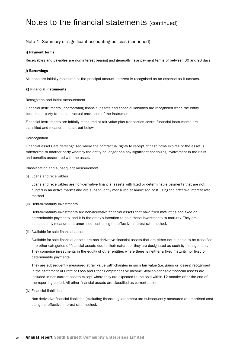#### i) Payment terms

Receivables and payables are non interest bearing and generally have payment terms of between 30 and 90 days.

#### i) Borrowings

All loans are initially measured at the principal amount. Interest is recognised as an expense as it accrues.

#### k) Financial instruments

#### Recognition and initial measurement

Financial instruments, incorporating financial assets and financial liabilities are recognised when the entity becomes a party to the contractual provisions of the instrument.

Financial instruments are initially measured at fair value plus transaction costs. Financial instruments are classified and measured as set out below.

#### Derecognition

Financial assets are derecognised where the contractual rights to receipt of cash flows expires or the asset is transferred to another party whereby the entity no longer has any significant continuing involvement in the risks and benefits associated with the asset.

Classification and subsequent measurement

(i) Loans and receivables

Loans and receivables are non-derivative financial assets with fixed or determinable payments that are not quoted in an active market and are subsequently measured at amortised cost using the effective interest rate method.

(ii) Held-to-maturity investments

Held-to-maturity investments are non-derivative financial assets that have fixed maturities and fixed or determinable payments, and it is the entity's intention to hold these investments to maturity. They are subsequently measured at amortised cost using the effective interest rate method.

(iii) Available-for-sale financial assets

Available-for-sale financial assets are non-derivative financial assets that are either not suitable to be classified into other categories of financial assets due to their nature, or they are designated as such by management. They comprise investments in the equity of other entities where there is neither a fixed maturity nor fixed or determinable payments.

They are subsequently measured at fair value with changes in such fair value (i.e. gains or losses) recognised in the Statement of Profit or Loss and Other Comprehensive Income. Available-for-sale financial assets are included in non-current assets except where they are expected to be sold within 12 months after the end of the reporting period. All other financial assets are classified as current assets.

(iv) Financial liabilities

Non-derivative financial liabilities (excluding financial guarantees) are subsequently measured at amortised cost using the effective interest rate method.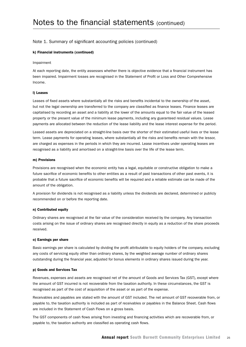#### k) Financial instruments (continued)

#### Impairment

At each reporting date, the entity assesses whether there is objective evidence that a financial instrument has been impaired. Impairment losses are recognised in the Statement of Profit or Loss and Other Comprehensive Income.

#### l) Leases

Leases of fixed assets where substantially all the risks and benefits incidental to the ownership of the asset, but not the legal ownership are transferred to the company are classified as finance leases. Finance leases are capitalised by recording an asset and a liability at the lower of the amounts equal to the fair value of the leased property or the present value of the minimum lease payments, including any guaranteed residual values. Lease payments are allocated between the reduction of the lease liability and the lease interest expense for the period.

Leased assets are depreciated on a straight-line basis over the shorter of their estimated useful lives or the lease term. Lease payments for operating leases, where substantially all the risks and benefits remain with the lessor, are charged as expenses in the periods in which they are incurred. Lease incentives under operating leases are recognised as a liability and amortised on a straight-line basis over the life of the lease term.

#### m) Provisions

Provisions are recognised when the economic entity has a legal, equitable or constructive obligation to make a future sacrifice of economic benefits to other entities as a result of past transactions of other past events, it is probable that a future sacrifice of economic benefits will be required and a reliable estimate can be made of the amount of the obligation.

A provision for dividends is not recognised as a liability unless the dividends are declared, determined or publicly recommended on or before the reporting date.

#### n) Contributed equity

Ordinary shares are recognised at the fair value of the consideration received by the company. Any transaction costs arising on the issue of ordinary shares are recognised directly in equity as a reduction of the share proceeds received.

#### o) Earnings per share

Basic earnings per share is calculated by dividing the profit attributable to equity holders of the company, excluding any costs of servicing equity other than ordinary shares, by the weighted average number of ordinary shares outstanding during the financial year, adjusted for bonus elements in ordinary shares issued during the year.

#### p) Goods and Services Tax

Revenues, expenses and assets are recognised net of the amount of Goods and Services Tax (GST), except where the amount of GST incurred is not recoverable from the taxation authority. In these circumstances, the GST is recognised as part of the cost of acquisition of the asset or as part of the expense.

Receivables and payables are stated with the amount of GST included. The net amount of GST recoverable from, or payable to, the taxation authority is included as part of receivables or payables in the Balance Sheet. Cash flows are included in the Statement of Cash Flows on a gross basis.

The GST components of cash flows arising from investing and financing activities which are recoverable from, or payable to, the taxation authority are classified as operating cash flows.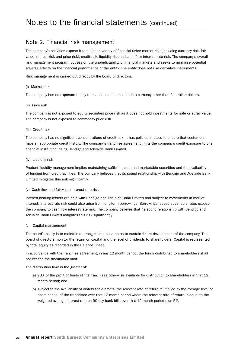### Note 2. Financial risk management

The company's activities expose it to a limited variety of financial risks: market risk (including currency risk, fair value interest risk and price risk), credit risk, liquidity risk and cash flow interest rate risk. The company's overall risk management program focuses on the unpredictability of financial markets and seeks to minimise potential adverse effects on the financial performance of the entity. The entity does not use derivative instruments.

Risk management is carried out directly by the board of directors.

#### (i) Market risk

The company has no exposure to any transactions denominated in a currency other than Australian dollars.

#### (ii) Price risk

The company is not exposed to equity securities price risk as it does not hold investments for sale or at fair value. The company is not exposed to commodity price risk.

#### (iii) Credit risk

The company has no significant concentrations of credit risk. It has policies in place to ensure that customers have an appropriate credit history. The company's franchise agreement limits the company's credit exposure to one financial institution, being Bendigo and Adelaide Bank Limited.

#### (iv) Liquidity risk

Prudent liquidity management implies maintaining sufficient cash and marketable securities and the availability of funding from credit facilities. The company believes that its sound relationship with Bendigo and Adelaide Bank Limited mitigates this risk significantly.

#### (v) Cash flow and fair value interest rate risk

Interest-bearing assets are held with Bendigo and Adelaide Bank Limited and subject to movements in market interest. Interest-rate risk could also arise from long-term borrowings. Borrowings issued at variable rates expose the company to cash flow interest-rate risk. The company believes that its sound relationship with Bendigo and Adelaide Bank Limited mitigates this risk significantly.

#### (vi) Capital management

The board's policy is to maintain a strong capital base so as to sustain future development of the company. The board of directors monitor the return on capital and the level of dividends to shareholders. Capital is represented by total equity as recorded in the Balance Sheet.

In accordance with the franchise agreement, in any 12 month period, the funds distributed to shareholders shall not exceed the distribution limit:

The distribution limit is the greater of:

- (a) 20% of the profit or funds of the franchisee otherwise available for distribution to shareholders in that 12 month period; and
- (b) subject to the availability of distributable profits, the relevant rate of return multiplied by the average level of share capital of the franchisee over that 12 month period where the relevant rate of return is equal to the weighted average interest rate on 90 day bank bills over that 12 month period plus 5%.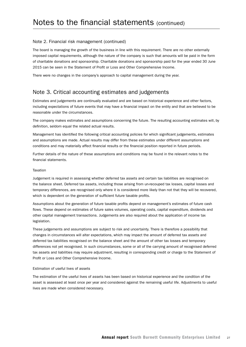#### Note 2. Financial risk management (continued)

The board is managing the growth of the business in line with this requirement. There are no other externally imposed capital requirements, although the nature of the company is such that amounts will be paid in the form of charitable donations and sponsorship. Charitable donations and sponsorship paid for the year ended 30 June 2015 can be seen in the Statement of Profit or Loss and Other Comprehensive Income.

There were no changes in the company's approach to capital management during the year.

### Note 3. Critical accounting estimates and judgements

Estimates and judgements are continually evaluated and are based on historical experience and other factors, including expectations of future events that may have a financial impact on the entity and that are believed to be reasonable under the circumstances.

The company makes estimates and assumptions concerning the future. The resulting accounting estimates will, by definition, seldom equal the related actual results.

Management has identified the following critical accounting policies for which significant judgements, estimates and assumptions are made. Actual results may differ from these estimates under different assumptions and conditions and may materially affect financial results or the financial position reported in future periods.

Further details of the nature of these assumptions and conditions may be found in the relevant notes to the financial statements.

#### **Taxation**

Judgement is required in assessing whether deferred tax assets and certain tax liabilities are recognised on the balance sheet. Deferred tax assets, including those arising from un-recouped tax losses, capital losses and temporary differences, are recognised only where it is considered more likely than not that they will be recovered, which is dependent on the generation of sufficient future taxable profits.

Assumptions about the generation of future taxable profits depend on management's estimates of future cash flows. These depend on estimates of future sales volumes, operating costs, capital expenditure, dividends and other capital management transactions. Judgements are also required about the application of income tax legislation.

These judgements and assumptions are subject to risk and uncertainty. There is therefore a possibility that changes in circumstances will alter expectations, which may impact the amount of deferred tax assets and deferred tax liabilities recognised on the balance sheet and the amount of other tax losses and temporary differences not yet recognised. In such circumstances, some or all of the carrying amount of recognised deferred tax assets and liabilities may require adjustment, resulting in corresponding credit or charge to the Statement of Profit or Loss and Other Comprehensive Income.

#### Estimation of useful lives of assets

The estimation of the useful lives of assets has been based on historical experience and the condition of the asset is assessed at least once per year and considered against the remaining useful life. Adjustments to useful lives are made when considered necessary.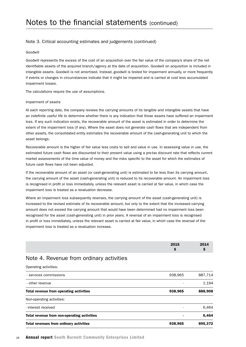#### Note 3. Critical accounting estimates and judgements (continued)

#### Goodwill

Goodwill represents the excess of the cost of an acquisition over the fair value of the company's share of the net identifiable assets of the acquired branch/agency at the date of acquisition. Goodwill on acquisition is included in intangible assets. Goodwill is not amortised. Instead, goodwill is tested for impairment annually, or more frequently if events or changes in circumstances indicate that it might be impaired and is carried at cost less accumulated impairment losses.

The calculations require the use of assumptions.

#### Impairment of assets

At each reporting date, the company reviews the carrying amounts of its tangible and intangible assets that have an indefinite useful life to determine whether there is any indication that those assets have suffered an impairment loss. If any such indication exists, the recoverable amount of the asset is estimated in order to determine the extent of the impairment loss (if any). Where the asset does not generate cash flows that are independent from other assets, the consolidated entity estimates the recoverable amount of the cash-generating unit to which the asset belongs.

Recoverable amount is the higher of fair value less costs to sell and value in use. In assessing value in use, the estimated future cash flows are discounted to their present value using a pre-tax discount rate that reflects current market assessments of the time value of money and the risks specific to the asset for which the estimates of future cash flows have not been adjusted.

If the recoverable amount of an asset (or cash-generating unit) is estimated to be less than its carrying amount, the carrying amount of the asset (cash-generating unit) is reduced to its recoverable amount. An impairment loss is recognised in profit or loss immediately, unless the relevant asset is carried at fair value, in which case the impairment loss is treated as a revaluation decrease.

Where an impairment loss subsequently reverses, the carrying amount of the asset (cash-generating unit) is increased to the revised estimate of its recoverable amount, but only to the extent that the increased carrying amount does not exceed the carrying amount that would have been determined had no impairment loss been recognised for the asset (cash-generating unit) in prior years. A reversal of an impairment loss is recognised in profit or loss immediately, unless the relevant asset is carried at fair value, in which case the reversal of the impairment loss is treated as a revaluation increase.

| 2015 | 2014 |
|------|------|
|      |      |

#### Note 4. Revenue from ordinary activities

Operating activities: 

| Total revenues from ordinary activities     | 938,965 | 895.372 |
|---------------------------------------------|---------|---------|
| Total revenue from non-operating activities |         | 6,464   |
| - interest received                         |         | 6.464   |
| Non-operating activities:                   |         |         |
| Total revenue from operating activities     | 938,965 | 888,908 |
| - other revenue                             |         | 1.194   |
| - services commissions                      | 938,965 | 887,714 |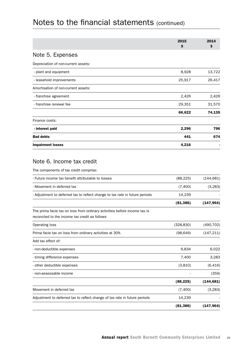|                                     | 2015<br>\$ | 2014<br>\$ |
|-------------------------------------|------------|------------|
| Note 5. Expenses                    |            |            |
| Depreciation of non-current assets: |            |            |
| - plant and equipment               | 8,928      | 13,722     |
| - leasehold improvements            | 25,917     | 26,417     |
| Amortisation of non-current assets: |            |            |
| - franchise agreement               | 2,426      | 2,426      |
| - franchise renewal fee             | 29,351     | 31,570     |
|                                     | 66,622     | 74,135     |
| Finance costs:                      |            |            |
| - interest paid                     | 2,296      | 796        |
| <b>Bad debts</b>                    | 441        | 674        |
| <b>Impairment losses</b>            | 4,216      |            |
|                                     |            |            |

### Note 6. Income tax credit

The components of tax credit comprise: 

| - Future income tax benefit attributable to losses                                                                          | (88, 225)  | (144, 681) |
|-----------------------------------------------------------------------------------------------------------------------------|------------|------------|
| - Movement in deferred tax                                                                                                  | (7,400)    | (3,283)    |
| - Adjustment to deferred tax to reflect change to tax rate in future periods                                                | 14,239     |            |
|                                                                                                                             | (81, 386)  | (147, 964) |
| The prima facie tax on loss from ordinary activities before income tax is<br>reconciled to the income tax credit as follows |            |            |
| Operating loss                                                                                                              | (328, 830) | (490, 702) |
| Prima facie tax on loss from ordinary activities at 30%                                                                     | (98, 649)  | (147, 211) |
| Add tax effect of:                                                                                                          |            |            |
| - non-deductible expenses                                                                                                   | 6,834      | 6,022      |
| - timing difference expenses                                                                                                | 7,400      | 3,283      |
| - other deductible expenses                                                                                                 | (3,810)    | (6, 416)   |
| - non-assessable income                                                                                                     |            | (359)      |
|                                                                                                                             | (88, 225)  | (144, 681) |
| Movement in deferred tax                                                                                                    | (7,400)    | (3,283)    |
| Adjustment to deferred tax to reflect change of tax rate in future periods                                                  | 14,239     |            |
|                                                                                                                             | (81, 386)  | (147, 964) |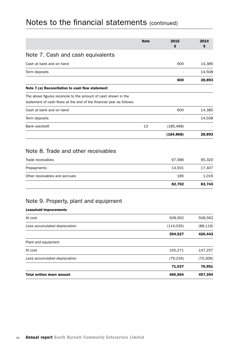|                                                                                                                                        | <b>Note</b> | 2015       | 2014      |
|----------------------------------------------------------------------------------------------------------------------------------------|-------------|------------|-----------|
|                                                                                                                                        |             | \$         | \$        |
| Note 7. Cash and cash equivalents                                                                                                      |             |            |           |
| Cash at bank and on hand                                                                                                               |             | 600        | 14,385    |
| Term deposits                                                                                                                          |             |            | 14,508    |
|                                                                                                                                        |             | 600        | 28,893    |
| Note 7.(a) Reconciliation to cash flow statement                                                                                       |             |            |           |
| The above figures reconcile to the amount of cash shown in the<br>statement of cash flows at the end of the financial year as follows: |             |            |           |
| Cash at bank and on hand                                                                                                               |             | 600        | 14,385    |
| Term deposits                                                                                                                          |             |            | 14,508    |
| Bank overdraft                                                                                                                         | 13          | (185, 468) |           |
|                                                                                                                                        |             | (184, 868) | 28,893    |
| Note 8. Trade and other receivables                                                                                                    |             |            |           |
| Trade receivables                                                                                                                      |             | 67,586     | 65,320    |
| Prepayments                                                                                                                            |             | 14,931     | 17,407    |
| Other receivables and accruals                                                                                                         |             | 185        | 1,016     |
|                                                                                                                                        |             | 82,702     | 83,743    |
| Note 9. Property, plant and equipment                                                                                                  |             |            |           |
| <b>Leasehold improvements</b>                                                                                                          |             |            |           |
| At cost                                                                                                                                |             | 508,562    | 508,562   |
| Less accumulated depreciation                                                                                                          |             | (114, 035) | (88, 119) |

|                                  | 394,527   | 420,443   |
|----------------------------------|-----------|-----------|
| Plant and equipment              |           |           |
| At cost                          | 150,271   | 147,257   |
| Less accumulated depreciation    | (79, 234) | (70, 306) |
|                                  | 71,037    | 76,951    |
| <b>Total written down amount</b> | 465,564   | 497,394   |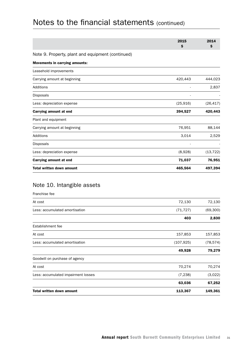|                                                   | 2015<br>\$ | 2014<br>\$ |
|---------------------------------------------------|------------|------------|
| Note 9. Property, plant and equipment (continued) |            |            |
| <b>Movements in carrying amounts:</b>             |            |            |
| Leasehold improvements                            |            |            |
| Carrying amount at beginning                      | 420,443    | 444,023    |
| Additions                                         |            | 2,837      |
| Disposals                                         |            |            |
| Less: depreciation expense                        | (25, 916)  | (26, 417)  |
| Carrying amount at end                            | 394,527    | 420,443    |
| Plant and equipment                               |            |            |
| Carrying amount at beginning                      | 76,951     | 88,144     |
| Additions                                         | 3,014      | 2,529      |
| <b>Disposals</b>                                  |            |            |
| Less: depreciation expense                        | (8,928)    | (13, 722)  |
| Carrying amount at end                            | 71,037     | 76,951     |
| <b>Total written down amount</b>                  | 465,564    | 497,394    |

## Note 10. Intangible assets

| Franchise fee                       |            |           |
|-------------------------------------|------------|-----------|
| At cost                             | 72,130     | 72,130    |
| Less: accumulated amortisation      | (71, 727)  | (69, 300) |
|                                     | 403        | 2,830     |
| Establishment fee                   |            |           |
| At cost                             | 157,853    | 157,853   |
| Less: accumulated amortisation      | (107, 925) | (78, 574) |
|                                     | 49,928     | 79,279    |
| Goodwill on purchase of agency      |            |           |
| At cost                             | 70,274     | 70,274    |
| Less: accumulated impairment losses | (7, 238)   | (3,022)   |
|                                     | 63,036     | 67,252    |
| <b>Total written down amount</b>    | 113,367    | 149,361   |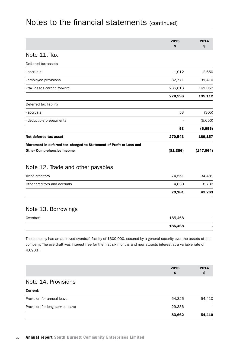|                                                                     | 2015<br>\$ | 2014<br>\$ |
|---------------------------------------------------------------------|------------|------------|
| Note 11. Tax                                                        |            |            |
| Deferred tax assets                                                 |            |            |
| - accruals                                                          | 1,012      | 2,650      |
| - employee provisions                                               | 32,771     | 31,410     |
| - tax losses carried forward                                        | 236,813    | 161,052    |
|                                                                     | 270,596    | 195,112    |
| Deferred tax liability                                              |            |            |
| - accruals                                                          | 53         | (305)      |
| - deductible prepayments                                            |            | (5,650)    |
|                                                                     | 53         | (5, 955)   |
| Net deferred tax asset                                              | 270,543    | 189,157    |
| Movement in deferred tax charged to Statement of Profit or Loss and |            |            |
| <b>Other Comprehensive Income</b>                                   | (81, 386)  | (147, 964) |
| Note 12. Trade and other payables                                   |            |            |
| Trade creditors                                                     | 74,551     | 34,481     |

|                              | 79,181 | 43,263 |
|------------------------------|--------|--------|
| Other creditors and accruals | 4.630  | 8.782  |
|                              |        |        |

## Note 13. Borrowings

|           | 185,468 |  |
|-----------|---------|--|
| Overdraft | 185,468 |  |

The company has an approved overdraft facility of \$300,000, secured by a general security over the assets of the company. The overdraft was interest free for the first six months and now attracts interest at a variable rate of 4.690%.

|                                  | 2015<br>\$. | 2014<br>Ş |
|----------------------------------|-------------|-----------|
| Note 14. Provisions              |             |           |
| <b>Current:</b>                  |             |           |
| Provision for annual leave       | 54,326      | 54,410    |
| Provision for long service leave | 29,336      |           |

83,662 54,410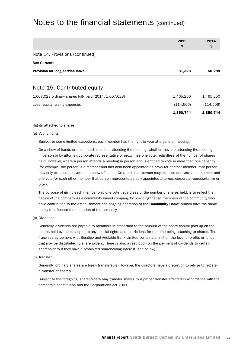|                                                        | 2015       | 2014       |
|--------------------------------------------------------|------------|------------|
|                                                        | \$         | Ş          |
| Note 14. Provisions (continued)                        |            |            |
| <b>Non-Current:</b>                                    |            |            |
| Provision for long service leave                       | 31,323     | 50,289     |
| Note 15. Contributed equity                            |            |            |
| 1,607,028 ordinary shares fully paid (2014: 1,607,028) | 1,465,250  | 1,465,250  |
| Less: equity raising expenses                          | (114, 506) | (114, 506) |
|                                                        | 1,350,744  | 1,350,744  |
|                                                        |            |            |

Rights attached to shares

(a) Voting rights

Subject to some limited exceptions, each member has the right to vote at a general meeting.

On a show of hands or a poll, each member attending the meeting (whether they are attending the meeting in person or by attorney, corporate representative or proxy) has one vote, regardless of the number of shares held. However, where a person attends a meeting in person and is entitled to vote in more than one capacity (for example, the person is a member and has also been appointed as proxy for another member) that person may only exercise one vote on a show of hands. On a poll, that person may exercise one vote as a member and one vote for each other member that person represents as duly appointed attorney, corporate representative or proxy.

The purpose of giving each member only one vote, regardless of the number of shares held, is to reflect the nature of the company as a community based company, by providing that all members of the community who have contributed to the establishment and ongoing operation of the **Community Bank®** branch have the same ability to influence the operation of the company.

(b) Dividends

Generally, dividends are payable to members in proportion to the amount of the share capital paid up on the shares held by them, subject to any special rights and restrictions for the time being attaching to shares. The franchise agreement with Bendigo and Adelaide Bank Limited contains a limit on the level of profits or funds that may be distributed to shareholders. There is also a restriction on the payment of dividends to certain shareholders if they have a prohibited shareholding interest (see below).

(c) Transfer

Generally, ordinary shares are freely transferable. However, the directors have a discretion to refuse to register a transfer of shares.

Subject to the foregoing, shareholders may transfer shares by a proper transfer effected in accordance with the company's constitution and the Corporations Act 2001.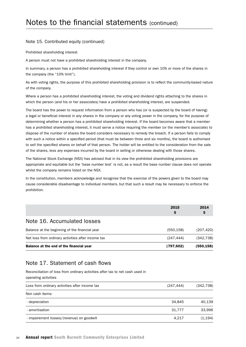#### Note 15. Contributed equity (continued)

Prohibited shareholding interest

A person must not have a prohibited shareholding interest in the company.

In summary, a person has a prohibited shareholding interest if they control or own 10% or more of the shares in the company (the "10% limit").

As with voting rights, the purpose of this prohibited shareholding provision is to reflect the community-based nature of the company.

Where a person has a prohibited shareholding interest, the voting and dividend rights attaching to the shares in which the person (and his or her associates) have a prohibited shareholding interest, are suspended.

The board has the power to request information from a person who has (or is suspected by the board of having) a legal or beneficial interest in any shares in the company or any voting power in the company, for the purpose of determining whether a person has a prohibited shareholding interest. If the board becomes aware that a member has a prohibited shareholding interest, it must serve a notice requiring the member (or the member's associate) to dispose of the number of shares the board considers necessary to remedy the breach. If a person fails to comply with such a notice within a specified period (that must be between three and six months), the board is authorised to sell the specified shares on behalf of that person. The holder will be entitled to the consideration from the sale of the shares, less any expenses incurred by the board in selling or otherwise dealing with those shares.

The National Stock Exchange (NSX) has advised that in its view the prohibited shareholding provisions are appropriate and equitable but the 'base number test' is not, as a result the base number clause does not operate whilst the company remains listed on the NSX.

In the constitution, members acknowledge and recognise that the exercise of the powers given to the board may cause considerable disadvantage to individual members, but that such a result may be necessary to enforce the prohibition.

|                                                    | 2015<br>S  | 2014       |
|----------------------------------------------------|------------|------------|
| Note 16. Accumulated losses                        |            |            |
| Balance at the beginning of the financial year     | (550, 158) | (207, 420) |
| Net loss from ordinary activities after income tax | (247, 444) | (342, 738) |
| Balance at the end of the financial year           | (797, 602) | (550,158)  |

### Note 17. Statement of cash flows

Reconciliation of loss from ordinary activities after tax to net cash used in operating activities

| Loss from ordinary activities after income tax | (247, 444) | (342, 738) |
|------------------------------------------------|------------|------------|
| Non cash items:                                |            |            |
| - depreciation                                 | 34.845     | 40.139     |
| - amortisation                                 | 31.777     | 33.996     |
| - impairement losses/(revenue) on goodwill     | 4,217      | (1, 194)   |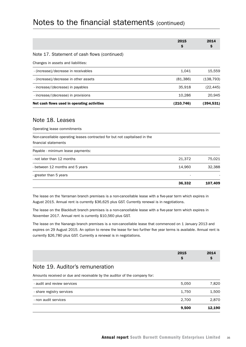|                                              | 2015       | 2014       |
|----------------------------------------------|------------|------------|
|                                              | Ş          | Ş          |
| Note 17. Statement of cash flows (continued) |            |            |
| Changes in assets and liabilities:           |            |            |
| - (increase)/decrease in receivables         | 1,041      | 15,559     |
| - (increase)/decrease in other assets        | (81, 386)  | (138, 793) |
| - increase/(decrease) in payables            | 35,918     | (22, 445)  |
| - increase/(decrease) in provisions          | 10,286     | 20.945     |
| Net cash flows used in operating activities  | (210, 746) | (394,531)  |
|                                              |            |            |
|                                              |            |            |

### Note 18. Leases

Operating lease commitments

| Non-cancellable operating leases contracted for but not capitalised in the |        |         |
|----------------------------------------------------------------------------|--------|---------|
| financial statements                                                       |        |         |
| Payable - minimum lease payments:                                          |        |         |
| - not later than 12 months                                                 | 21,372 | 75,021  |
| - between 12 months and 5 years                                            | 14.960 | 32,388  |
| - greater than 5 years                                                     |        |         |
|                                                                            | 36,332 | 107,409 |

The lease on the Yarraman branch premises is a non-cancellable lease with a five-year term which expires in August 2015. Annual rent is currently \$36,625 plus GST. Currently renewal is in negotiations.

The lease on the Blackbutt branch premises is a non-cancellable lease with a five-year term which expires in November 2017. Annual rent is currently \$10,560 plus GST.

The lease on the Nanango branch premises is a non-cancellable lease that commenced on 1 January 2013 and expires on 29 August 2015. An option to renew the lease for two further five year terms is available. Annual rent is currently \$26,780 plus GST. Currently a renewal is in negotiations.

| 2015 | отла<br>$-0.1$ |
|------|----------------|
|      |                |

### Note 19. Auditor's remuneration

Amounts received or due and receivable by the auditor of the company for: 

|                             | 9,500 | 12,190 |
|-----------------------------|-------|--------|
| - non audit services        | 2.700 | 2,870  |
| - share registry services   | 1,750 | 1,500  |
| - audit and review services | 5,050 | 7,820  |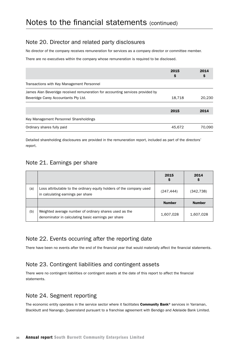## Note 20. Director and related party disclosures

No director of the company receives remuneration for services as a company director or committee member.

There are no executives within the company whose remuneration is required to be disclosed.

|                                                                                | 2015<br>\$ | 2014<br>Ş |
|--------------------------------------------------------------------------------|------------|-----------|
| Transactions with Key Management Personnel                                     |            |           |
| James Alan Beveridge received remuneration for accounting services provided by |            |           |
| Beveridge Carey Accountants Pty Ltd.                                           | 18,718     | 20,230    |
|                                                                                | 2015       | 2014      |
| Key Management Personnel Shareholdings                                         |            |           |
| Ordinary shares fully paid                                                     | 45.672     | 70.090    |

Detailed shareholding disclosures are provided in the remuneration report, included as part of the directors' report.

## Note 21. Earnings per share

|     |                                                                                                               | 2015<br>≂     | 2014          |
|-----|---------------------------------------------------------------------------------------------------------------|---------------|---------------|
| (a) | Loss attributable to the ordinary equity holders of the company used<br>in calculating earnings per share     | (247, 444)    | (342,738)     |
|     |                                                                                                               | <b>Number</b> | <b>Number</b> |
| (b) | Weighted average number of ordinary shares used as the<br>denominator in calculating basic earnings per share | 1,607,028     | 1,607,028     |

## Note 22. Events occurring after the reporting date

There have been no events after the end of the financial year that would materially affect the financial statements.

## Note 23. Contingent liabilities and contingent assets

There were no contingent liabilities or contingent assets at the date of this report to affect the financial statements.

## Note 24. Segment reporting

The economic entity operates in the service sector where it facilitates Community Bank® services in Yarraman, Blackbutt and Nanango, Queensland pursuant to a franchise agreement with Bendigo and Adelaide Bank Limited.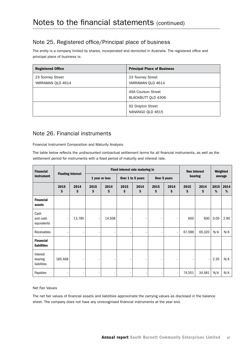## Note 25. Registered office/Principal place of business

The entity is a company limited by shares, incorporated and domiciled in Australia. The registered office and principal place of business is:

| <b>Registered Office</b>              | <b>Principal Place of Business</b>       |
|---------------------------------------|------------------------------------------|
| 23 Toomey Street<br>YARRAMAN QLD 4614 | 23 Toomey Street<br>YARRAMAN QLD 4614    |
|                                       | 49A Coulson Street<br>BLACKBUTT OLD 4306 |
|                                       | 92 Drayton Street<br>NANANGO OLD 4615    |

## Note 26. Financial instruments

Financial Instrument Composition and Maturity Analysis

The table below reflects the undiscounted contractual settlement terms for all financial instruments, as well as the settlement period for instruments with a fixed period of maturity and interest rate.

| <b>Financial</b>                       |            |                |                          | Fixed interest rate maturing in<br><b>Non interest</b> |                |              |            | Weighted   |            |            |           |           |
|----------------------------------------|------------|----------------|--------------------------|--------------------------------------------------------|----------------|--------------|------------|------------|------------|------------|-----------|-----------|
| <b>Floating interest</b><br>instrument |            | 1 year or less |                          | Over 1 to 5 years                                      |                | Over 5 years |            | bearing    |            | average    |           |           |
|                                        | 2015<br>\$ | 2014<br>\$     | 2015<br>\$               | 2014<br>\$                                             | 2015<br>\$     | 2014<br>\$   | 2015<br>\$ | 2014<br>\$ | 2015<br>\$ | 2014<br>\$ | 2015<br>% | 2014<br>% |
| <b>Financial</b><br>assets             |            |                |                          |                                                        |                |              |            |            |            |            |           |           |
| Cash<br>and cash<br>equivalents        |            | 13,785         | $\overline{\phantom{a}}$ | 14,508                                                 | $\overline{a}$ |              |            |            | 600        | 600        | 0.00      | 2.90      |
| Receivables                            |            | ٠              |                          | ٠                                                      | $\overline{a}$ | -            |            | -          | 67,586     | 65,320     | N/A       | N/A       |
| <b>Financial</b><br>liabilities        |            |                |                          |                                                        |                |              |            |            |            |            |           |           |
| Interest<br>bearing<br>liabilities     | 185,468    | ۰              |                          |                                                        |                |              |            |            |            |            | 2.35      | N/A       |
| Payables                               |            | -              |                          |                                                        |                |              |            |            | 74,551     | 34,481     | N/A       | N/A       |

Net Fair Values

The net fair values of financial assets and liabilities approximate the carrying values as disclosed in the balance sheet. The company does not have any unrecognised financial instruments at the year end.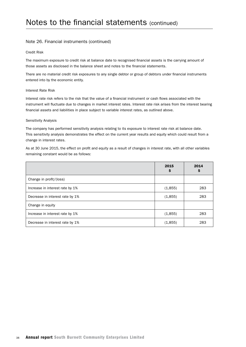#### Note 26. Financial instruments (continued)

#### Credit Risk

The maximum exposure to credit risk at balance date to recognised financial assets is the carrying amount of those assets as disclosed in the balance sheet and notes to the financial statements.

There are no material credit risk exposures to any single debtor or group of debtors under financial instruments entered into by the economic entity.

#### Interest Rate Risk

Interest rate risk refers to the risk that the value of a financial instrument or cash flows associated with the instrument will fluctuate due to changes in market interest rates. Interest rate risk arises from the interest bearing financial assets and liabilities in place subject to variable interest rates, as outlined above.

#### Sensitivity Analysis

The company has performed sensitivity analysis relating to its exposure to interest rate risk at balance date. This sensitivity analysis demonstrates the effect on the current year results and equity which could result from a change in interest rates.

As at 30 June 2015, the effect on profit and equity as a result of changes in interest rate, with all other variables remaining constant would be as follows:

|                                 | 2015<br>Ş | 2014<br>Ş |
|---------------------------------|-----------|-----------|
| Change in profit/(loss)         |           |           |
| Increase in interest rate by 1% | (1,855)   | 283       |
| Decrease in interest rate by 1% | (1,855)   | 283       |
| Change in equity                |           |           |
| Increase in interest rate by 1% | (1,855)   | 283       |
| Decrease in interest rate by 1% | (1,855)   | 283       |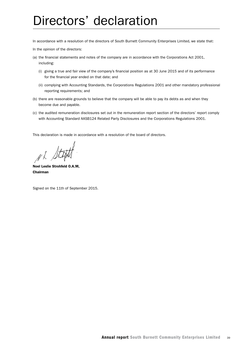## Directors' declaration

In accordance with a resolution of the directors of South Burnett Community Enterprises Limited, we state that:

In the opinion of the directors:

- (a) the financial statements and notes of the company are in accordance with the Corporations Act 2001, including:
	- (i) giving a true and fair view of the company's financial position as at 30 June 2015 and of its performance for the financial year ended on that date; and
	- (ii) complying with Accounting Standards, the Corporations Regulations 2001 and other mandatory professional reporting requirements; and
- (b) there are reasonable grounds to believe that the company will be able to pay its debts as and when they become due and payable.
- (c) the audited remuneration disclosures set out in the remuneration report section of the directors' report comply with Accounting Standard AASB124 Related Party Disclosures and the Corporations Regulations 2001.

This declaration is made in accordance with a resolution of the board of directors.

NL St

Noel Leslie Strohfeld O.A.M, Chairman

Signed on the 11th of September 2015.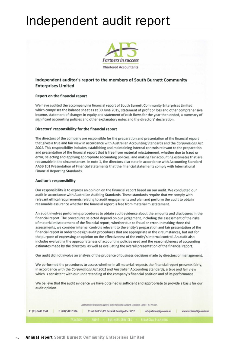## Independent audit report



#### Independent auditor's report to the members of South Burnett Community **Enterprises Limited**

#### Report on the financial report

We have audited the accompanying financial report of South Burnett Community Enterprises Limited, which comprises the balance sheet as at 30 June 2015, statement of profit or loss and other comprehensive income, statement of changes in equity and statement of cash flows for the year then ended, a summary of significant accounting policies and other explanatory notes and the directors' declaration.

#### Directors' responsibility for the financial report

The directors of the company are responsible for the preparation and presentation of the financial report that gives a true and fair view in accordance with Australian Accounting Standards and the Corporations Act 2001. This responsibility includes establishing and maintaining internal controls relevant to the preparation and presentation of the financial report that is free from material misstatement, whether due to fraud or error; selecting and applying appropriate accounting policies; and making fair accounting estimates that are reasonable in the circumstances. In note 1, the directors also state in accordance with Accounting Standard AASB 101 Presentation of Financial Statements that the financial statements comply with International Financial Reporting Standards.

#### Auditor's responsibility

Our responsibility is to express an opinion on the financial report based on our audit. We conducted our audit in accordance with Australian Auditing Standards. These standards require that we comply with relevant ethical requirements relating to audit engagements and plan and perform the audit to obtain reasonable assurance whether the financial report is free from material misstatement.

An audit involves performing procedures to obtain audit evidence about the amounts and disclosures in the financial report. The procedures selected depend on our judgement, including the assessment of the risks of material misstatement of the financial report, whether due to fraud or error. In making those risk assessments, we consider internal controls relevant to the entity's preparation and fair presentation of the financial report in order to design audit procedures that are appropriate in the circumstances, but not for the purpose of expressing an opinion on the effectiveness of the entity's internal control. An audit also includes evaluating the appropriateness of accounting policies used and the reasonableness of accounting estimates made by the directors, as well as evaluating the overall presentation of the financial report.

Our audit did not involve an analysis of the prudence of business decisions made by directors or management.

We performed the procedures to assess whether in all material respects the financial report presents fairly, in accordance with the Corporations Act 2001 and Australian Accounting Standards, a true and fair view which is consistent with our understanding of the company's financial position and of its performance.

We believe that the audit evidence we have obtained is sufficient and appropriate to provide a basis for our audit opinion.

Liability limited by a scheme approved under Professional Standards Legislation. ABN: 51 061 795 337.

| P: (03) 5443 0344<br>F: (03) 5443 5304 | 61-65 Bull St./PO Box 454 Bendigo Vic. 3552               | afs@afsbendigo.com.au | www.afsbendigo.com.au |
|----------------------------------------|-----------------------------------------------------------|-----------------------|-----------------------|
|                                        | TAXATION • AUDIT • BUSINESS SERVICES • FINANCIAL PLANNING |                       |                       |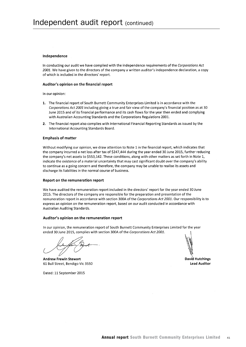#### Independence

In conducting our audit we have complied with the independence requirements of the Corporations Act 2001. We have given to the directors of the company a written auditor's independence declaration, a copy of which is included in the directors' report.

#### Auditor's opinion on the financial report

In our opinion:

- 1. The financial report of South Burnett Community Enterprises Limited is in accordance with the Corporations Act 2001 including giving a true and fair view of the company's financial position as at 30 June 2015 and of its financial performance and its cash flows for the year then ended and complying with Australian Accounting Standards and the Corporations Regulations 2001.
- 2. The financial report also complies with International Financial Reporting Standards as issued by the International Accounting Standards Board.

#### **Emphasis of matter**

Without modifying our opinion, we draw attention to Note 1 in the financial report, which indicates that the company incurred a net loss after tax of \$247,444 during the year ended 30 June 2015, further reducing the company's net assets to \$553,142. These conditions, along with other matters as set forth in Note 1, indicate the existence of a material uncertainty that may cast significant doubt over the company's ability to continue as a going concern and therefore, the company may be unable to realise its assets and discharge its liabilities in the normal course of business.

#### Report on the remuneration report

We have audited the remuneration report included in the directors' report for the year ended 30 June 2015. The directors of the company are responsible for the preparation and presentation of the remuneration report in accordance with section 300A of the Corporations Act 2001. Our responsibility is to express an opinion on the remuneration report, based on our audit conducted in accordance with Australian Auditing Standards.

#### Auditor's opinion on the remuneration report

In our opinion, the remuneration report of South Burnett Community Enterprises Limited for the year ended 30 June 2015, complies with section 300A of the Corporations Act 2001.

**Andrew Frewin Stewart** 61 Bull Street, Bendigo Vic 3550

David Hutchings **Lead Auditor** 

Dated: 11 September 2015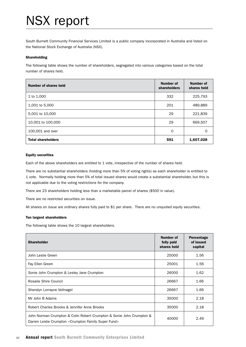## NSX report

South Burnett Community Financial Services Limited is a public company incorporated in Australia and listed on the National Stock Exchange of Australia (NSX).

#### Shareholding

The following table shows the number of shareholders, segregated into various categories based on the total number of shares held.

| Number of shares held     | Number of<br>shareholders | Number of<br>shares held |
|---------------------------|---------------------------|--------------------------|
| 1 to 1,000                | 332                       | 225,793                  |
| 1,001 to 5,000            | 201                       | 489,889                  |
| 5,001 to 10,000           | 29                        | 221,839                  |
| 10,001 to 100,000         | 29                        | 669,507                  |
| 100,001 and over          | $\Omega$                  | $\Omega$                 |
| <b>Total shareholders</b> | 591                       | 1,607,028                |

#### Equity securities

Each of the above shareholders are entitled to 1 vote, irrespective of the number of shares held.

There are no substantial shareholders (holding more than 5% of voting rights) as each shareholder is entitled to 1 vote. Normally holding more than 5% of total issued shares would create a substantial shareholder, but this is not applicable due to the voting restrictions for the company.

There are 23 shareholders holding less than a marketable parcel of shares (\$500 in value).

There are no restricted securities on issue.

All shares on issue are ordinary shares fully paid to \$1 per share. There are no unquoted equity securities.

#### Ten largest shareholders

The following table shows the 10 largest shareholders.

| <b>Shareholder</b>                                                                                                           | <b>Number of</b><br>fully paid<br>shares held | Percentage<br>of issued<br>capital |
|------------------------------------------------------------------------------------------------------------------------------|-----------------------------------------------|------------------------------------|
| John Leslie Green                                                                                                            | 25000                                         | 1.56                               |
| Fay Ellen Green                                                                                                              | 25001                                         | 1.56                               |
| Sonie John Crumpton & Lesley Jane Crumpton                                                                                   | 26000                                         | 1.62                               |
| Rosalie Shire Council                                                                                                        | 26667                                         | 1.66                               |
| Sheralyn Lorrayne Vellnagel                                                                                                  | 26667                                         | 1.66                               |
| Mr John B Adams                                                                                                              | 35000                                         | 2.18                               |
| Robert Charles Brooks & Jennifer Anne Brooks                                                                                 | 35000                                         | 2.18                               |
| John Norman Crumpton & Colin Robert Crumpton & Sonie John Crumpton &<br>Darren Leslie Crumpton < Crumpton Family Super Fund> | 40000                                         | 2.49                               |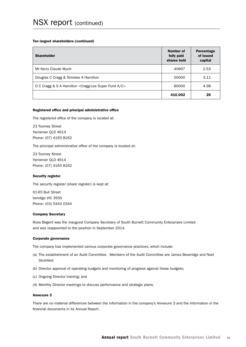#### Ten largest shareholders (continued)

| <b>Shareholder</b>                                   | Number of<br>fully paid<br>shares held | Percentage<br>of issued<br>capital |
|------------------------------------------------------|----------------------------------------|------------------------------------|
| Mr Kerry Claude Wyvill                               | 40667                                  | 2.53                               |
| Douglas C Cragg & Shiralee A Hamilton                | 50000                                  | 3.11                               |
| D C Cragg & S A Hamilton < Cragg-Lea Super Fund A/C> | 80000                                  | 4.98                               |
|                                                      | 410,002                                | 26                                 |

#### Registered office and principal administrative office

The registered office of the company is located at:

23 Toomey Street Yarraman QLD 4614 Phone: (07) 4163 8162

The principal administrative office of the company is located at:

23 Toomey Street Yarraman QLD 4614 Phone: (07) 4163 8162

#### Security register

The security register (share register) is kept at:

61-65 Bull Street bendigo VIC 3550 Phone: (03) 5443 0344

#### Company Secretary

Ross Begent was the inaugural Company Secretary of South Burnett Community Enterprises Limited and was reappointed to the position in September 2014.

#### Corporate governance

The company has implemented various corporate governance practices, which include:

- (a) The establishment of an Audit Committee. Members of the Audit Committee are James Beveridge and Noel Strohfeld
- (b) Director approval of operating budgets and monitoring of progress against these budgets;
- (c) Ongoing Director training; and
- (d) Monthly Director meetings to discuss performance and strategic plans.

#### Annexure 3

There are no material differences between the information in the company's Annexure 3 and the information in the financial documents in its Annual Report.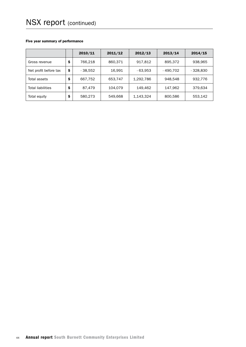#### Five year summary of performance

|                          |    | 2010/11   | 2011/12 | 2012/13   | 2013/14   | 2014/15    |
|--------------------------|----|-----------|---------|-----------|-----------|------------|
| Gross revenue            | \$ | 766.218   | 860,371 | 917.812   | 895,372   | 938,965    |
| Net profit before tax    | \$ | $-38.552$ | 16.991  | $-63,953$ | - 490.702 | $-328.830$ |
| Total assets             | S  | 667,752   | 653,747 | 1,292,786 | 948.548   | 932.776    |
| <b>Total liabilities</b> | S  | 87.479    | 104.079 | 149.462   | 147.962   | 379.634    |
| Total equity             | \$ | 580.273   | 549.668 | 1,143,324 | 800,586   | 553,142    |